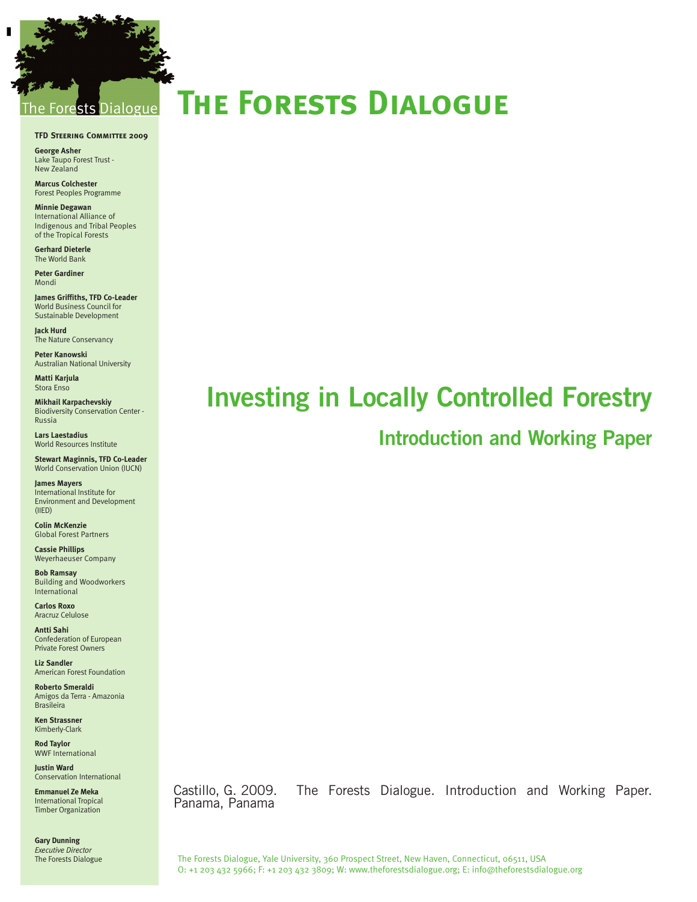## sts Dialogue

#### **TFD Steering Committee 2009**

**George Asher** Lake Taupo Forest Trust - New Zealand

-

**Marcus Colchester** Forest Peoples Programme

**Minnie Degawan** International Alliance of Indigenous and Tribal Peoples of the Tropical Forests

**Gerhard Dieterle** The World Bank

**Peter Gardiner** Mondi

**James Griffiths, TFD Co-Leader** World Business Council for Sustainable Development

**Jack Hurd**  The Nature Conservancy

**Peter Kanowski**  Australian National University

**Matti Karjula**  Stora Enso

**Mikhail Karpachevskiy** Biodiversity Conservation Center - Russia

**Lars Laestadius**  World Resources Institute

**Stewart Maginnis, TFD Co-Leader** World Conservation Union (IUCN)

**James Mayers**  International Institute for Environment and Development (IIED)

**Colin McKenzie** Global Forest Partners

**Cassie Phillips** Weyerhaeuser Company

**Bob Ramsay** Building and Woodworkers International

**Carlos Roxo** Aracruz Celulose

**Antti Sahi**  Confederation of European Private Forest Owners

**Liz Sandler**  American Forest Foundation

**Roberto Smeraldi** Amigos da Terra - Amazonia Brasileira

**Ken Strassner**  Kimberly-Clark

**Rod Taylor** WWF International

**Justin Ward** Conservation International

**Emmanuel Ze Meka** International Tropical Timber Organization

**Gary Dunning** *Executive Director* The Forests Dialogue

# **The Forests Dialogue**

# **Investing in Locally Controlled Forestry**

## **Introduction and Working Paper**

Castillo, G. 2009. The Forests Dialogue. Introduction and Working Paper. Panama, Panama

The Forests Dialogue, Yale University, 360 Prospect Street, New Haven, Connecticut, 06511, USA O: +1 203 432 5966; F: +1 203 432 3809; W: www.theforestsdialogue.org; E: info@theforestsdialogue.org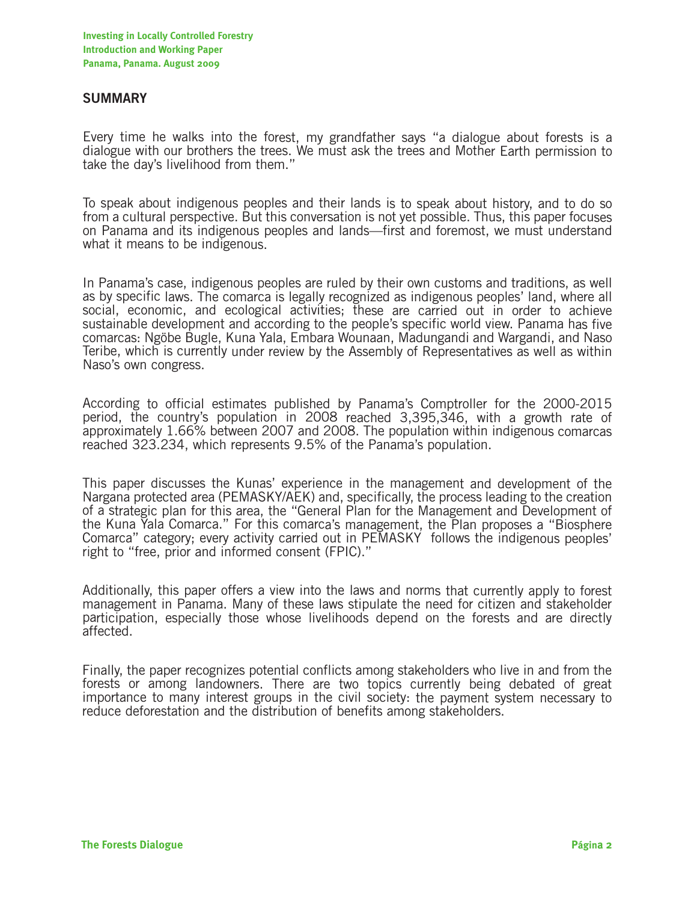#### **SUMMARY**

Every time he walks into the forest, my grandfather says "a dialogue about forests is a dialogue with our brothers the trees. We must ask the trees and Mother Earth permission to take the day's livelihood from them."

To speak about indigenous peoples and their lands is to speak about history, and to do so from a cultural perspective. But this conversation is not yet possible. Thus, this paper focuses on Panama and its indigenous peoples and lands—first and foremost, we must understand what it means to be indigenous.

In Panama's case, indigenous peoples are ruled by their own customs and traditions, as well as by specific laws. The comarca is legally recognized as indigenous peoples' land, where all social, economic, and ecological activities; these are carried out in order to achieve sustainable development and according to the people's specific world view. Panama has five comarcas: Ngöbe Bugle, Kuna Yala, Embara Wounaan, Madungandi and Wargandi, and Naso Teribe, which is currently under review by the Assembly of Representatives as well as within Naso's own congress.

According to official estimates published by Panama's Comptroller for the 2000-2015 period, the country's population in 2008 reached 3,395,346, with a growth rate of approximately 1.66% between 2007 and 2008. The population within indigenous comarcas reached 323.234, which represents 9.5% of the Panama's population.

This paper discusses the Kunas' experience in the management and development of the Nargana protected area (PEMASKY/AEK) and, specifically, the process leading to the creation of a strategic plan for this area, the "General Plan for the Management and Development of the Kuna Yala Comarca." For this comarca's management, the Plan proposes a "Biosphere Comarca" category; every activity carried out in PEMASKY follows the indigenous peoples' right to "free, prior and informed consent (FPIC)."

Additionally, this paper offers a view into the laws and norms that currently apply to forest management in Panama. Many of these laws stipulate the need for citizen and stakeholder participation, especially those whose livelihoods depend on the forests and are directly affected.

Finally, the paper recognizes potential conflicts among stakeholders who live in and from the forests or among landowners. There are two topics currently being debated of great importance to many interest groups in the civil society: the payment system necessary to reduce deforestation and the distribution of benefits among stakeholders.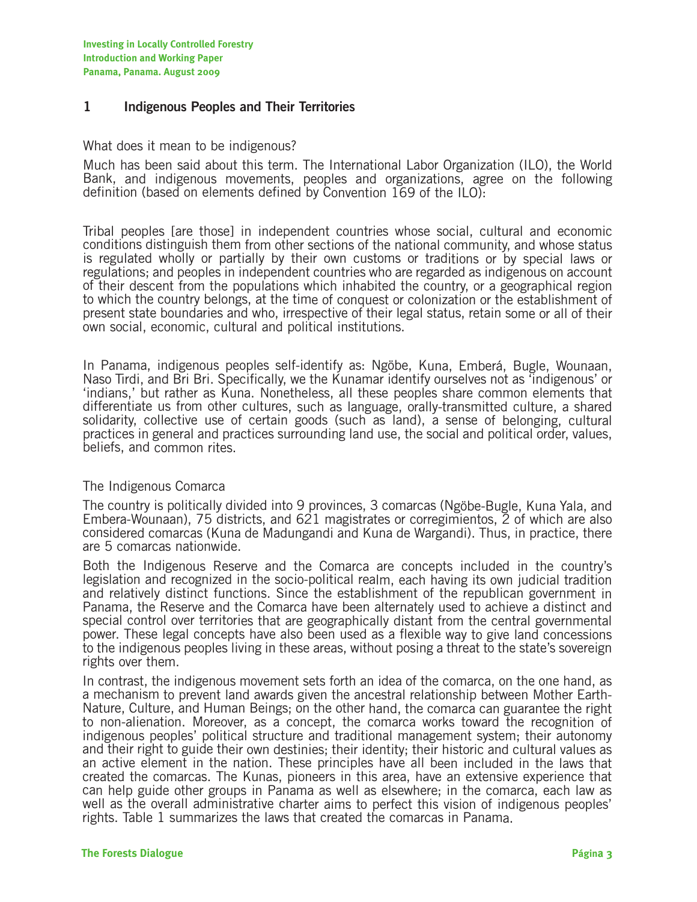#### **1 Indigenous Peoples and Their Territories**

#### What does it mean to be indigenous?

Much has been said about this term. The International Labor Organization (ILO), the World Bank, and indigenous movements, peoples and organizations, agree on the following definition (based on elements defined by Convention 169 of the ILO):

Tribal peoples [are those] in independent countries whose social, cultural and economic conditions distinguish them from other sections of the national community, and whose status is regulated wholly or partially by their own customs or traditions or by special laws or regulations; and peoples in independent countries who are regarded as indigenous on account of their descent from the populations which inhabited the country, or a geographical region to which the country belongs, at the time of conquest or colonization or the establishment of present state boundaries and who, irrespective of their legal status, retain some or all of their own social, economic, cultural and political institutions.

In Panama, indigenous peoples self-identify as: Ngöbe, Kuna, Emberá, Bugle, Wounaan, Naso Tirdi, and Bri Bri. Specifically, we the Kunamar identify ourselves not as 'indigenous' or 'indians,' but rather as Kuna. Nonetheless, all these peoples share common elements that differentiate us from other cultures, such as language, orally-transmitted culture, a shared solidarity, collective use of certain goods (such as land), a sense of belonging, cultural practices in general and practices surrounding land use, the social and political order, values, beliefs, and common rites.

#### The Indigenous Comarca

The country is politically divided into 9 provinces, 3 comarcas (Ngöbe-Bugle, Kuna Yala, and Embera-Wounaan), 75 districts, and 621 magistrates or corregimientos, 2 of which are also considered comarcas (Kuna de Madungandi and Kuna de Wargandi). Thus, in practice, there are 5 comarcas nationwide.

Both the Indigenous Reserve and the Comarca are concepts included in the country's legislation and recognized in the socio-political realm, each having its own judicial tradition and relatively distinct functions. Since the establishment of the republican government in Panama, the Reserve and the Comarca have been alternately used to achieve a distinct and special control over territories that are geographically distant from the central governmental power. These legal concepts have also been used as a flexible way to give land concessions to the indigenous peoples living in these areas, without posing a threat to the state's sovereign rights over them.

In contrast, the indigenous movement sets forth an idea of the comarca, on the one hand, as a mechanism to prevent land awards given the ancestral relationship between Mother Earth-Nature, Culture, and Human Beings; on the other hand, the comarca can guarantee the right to non-alienation. Moreover, as a concept, the comarca works toward the recognition of indigenous peoples' political structure and traditional management system; their autonomy and their right to guide their own destinies; their identity; their historic and cultural values as an active element in the nation. These principles have all been included in the laws that created the comarcas. The Kunas, pioneers in this area, have an extensive experience that can help guide other groups in Panama as well as elsewhere; in the comarca, each law as well as the overall administrative charter aims to perfect this vision of indigenous peoples' rights. Table 1 summarizes the laws that created the comarcas in Panama.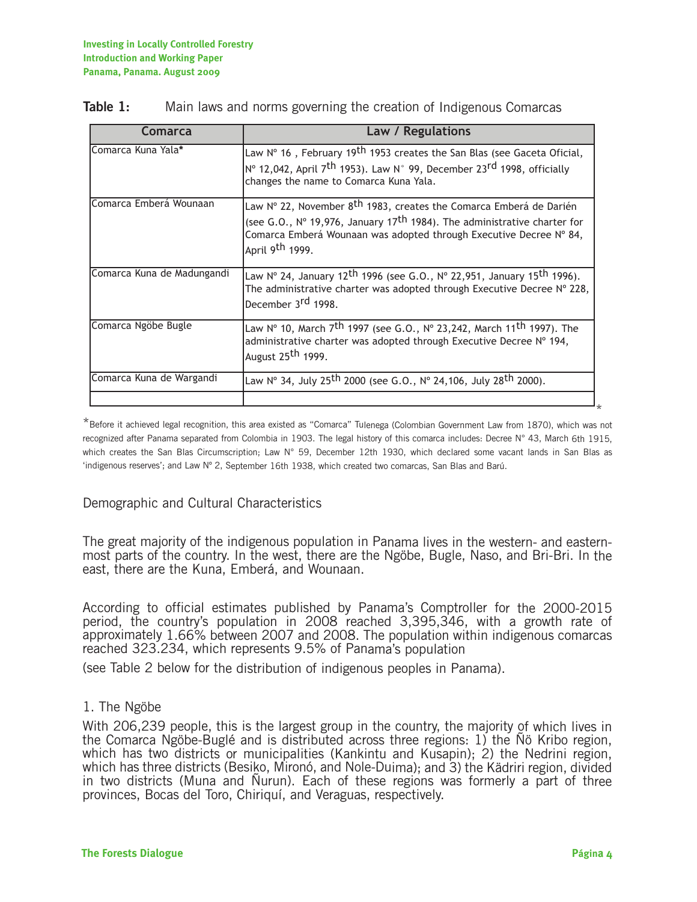| Comarca                    | Law / Regulations                                                                                                                                                                                                                                                        |
|----------------------------|--------------------------------------------------------------------------------------------------------------------------------------------------------------------------------------------------------------------------------------------------------------------------|
| Comarca Kuna Yala*         | Law $N^{\circ}$ 16, February 19 <sup>th</sup> 1953 creates the San Blas (see Gaceta Oficial,<br>N° 12,042, April 7 <sup>th</sup> 1953). Law N° 99, December 23 <sup>rd</sup> 1998, officially<br>changes the name to Comarca Kuna Yala.                                  |
| Comarca Emberá Wounaan     | Law Nº 22, November 8 <sup>th</sup> 1983, creates the Comarca Emberá de Darién<br>(see G.O., $N^{\circ}$ 19,976, January 17 <sup>th</sup> 1984). The administrative charter for<br>Comarca Emberá Wounaan was adopted through Executive Decree Nº 84,<br>April 9th 1999. |
| Comarca Kuna de Madungandi | Law N° 24, January 12 <sup>th</sup> 1996 (see G.O., N° 22,951, January 15 <sup>th</sup> 1996).<br>The administrative charter was adopted through Executive Decree Nº 228,<br>December 3rd 1998.                                                                          |
| Comarca Ngöbe Bugle        | Law № 10, March 7 <sup>th</sup> 1997 (see G.O., № 23,242, March 11 <sup>th</sup> 1997). The<br>administrative charter was adopted through Executive Decree Nº 194,<br>August 25 <sup>th</sup> 1999.                                                                      |
| Comarca Kuna de Wargandi   | Law N° 34, July 25 <sup>th</sup> 2000 (see G.O., N° 24,106, July 28 <sup>th</sup> 2000).                                                                                                                                                                                 |

#### **Table 1:** Main laws and norms governing the creation of Indigenous Comarcas

\*Before it achieved legal recognition, this area existed as "Comarca" Tulenega (Colombian Government Law from 1870), which was not recognized after Panama separated from Colombia in 1903. The legal history of this comarca includes: Decree N° 43, March 6th 1915, which creates the San Blas Circumscription; Law N° 59, December 12th 1930, which declared some vacant lands in San Blas as 'indigenous reserves'; and Law Nº 2, September 16th 1938, which created two comarcas, San Blas and Barú.

#### Demographic and Cultural Characteristics

The great majority of the indigenous population in Panama lives in the western- and easternmost parts of the country. In the west, there are the Ngöbe, Bugle, Naso, and Bri-Bri. In the east, there are the Kuna, Emberá, and Wounaan.

According to official estimates published by Panama's Comptroller for the 2000-2015 period, the country's population in 2008 reached 3,395,346, with a growth rate of approximately 1.66% between 2007 and 2008. The population within indigenous comarcas reached 323.234, which represents 9.5% of Panama's population

(see Table 2 below for the distribution of indigenous peoples in Panama).

#### 1. The Ngöbe

With 206,239 people, this is the largest group in the country, the majority of which lives in the Comarca Ngöbe-Buglé and is distributed across three regions: 1) the Ñö Kribo region, which has two districts or municipalities (Kankintu and Kusapin); 2) the Nedrini region, which has three districts (Besiko, Mironó, and Nole-Duima); and 3) the Kädriri region, divided in two districts (Muna and Ñurun). Each of these regions was formerly a part of three provinces, Bocas del Toro, Chiriquí, and Veraguas, respectively.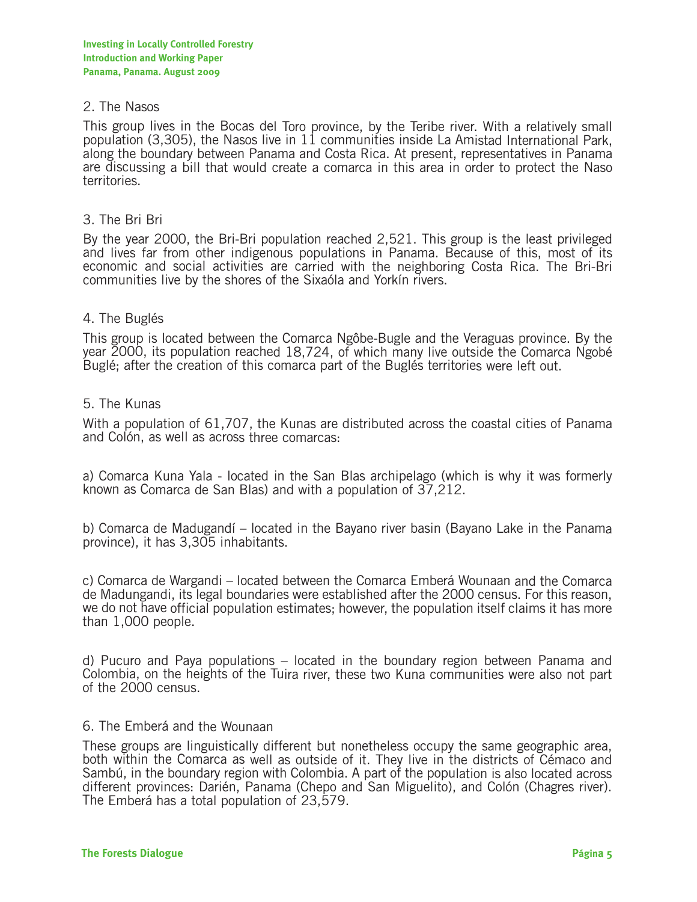#### 2. The Nasos

This group lives in the Bocas del Toro province, by the Teribe river. With a relatively small population (3,305), the Nasos live in 11 communities inside La Amistad International Park, along the boundary between Panama and Costa Rica. At present, representatives in Panama are discussing a bill that would create a comarca in this area in order to protect the Naso territories.

#### 3. The Bri Bri

By the year 2000, the Bri-Bri population reached 2,521. This group is the least privileged and lives far from other indigenous populations in Panama. Because of this, most of its economic and social activities are carried with the neighboring Costa Rica. The Bri-Bri communities live by the shores of the Sixaóla and Yorkín rivers.

#### 4. The Buglés

This group is located between the Comarca Ngôbe-Bugle and the Veraguas province. By the year 2000, its population reached 18,724, of which many live outside the Comarca Ngobé Buglé; after the creation of this comarca part of the Buglés territories were left out.

#### 5. The Kunas

With a population of 61,707, the Kunas are distributed across the coastal cities of Panama and Colón, as well as across three comarcas:

a) Comarca Kuna Yala - located in the San Blas archipelago (which is why it was formerly known as Comarca de San Blas) and with a population of 37,212.

b) Comarca de Madugandí – located in the Bayano river basin (Bayano Lake in the Panama province), it has 3,305 inhabitants.

c) Comarca de Wargandi – located between the Comarca Emberá Wounaan and the Comarca de Madungandi, its legal boundaries were established after the 2000 census. For this reason, we do not have official population estimates; however, the population itself claims it has more than 1,000 people.

d) Pucuro and Paya populations – located in the boundary region between Panama and Colombia, on the heights of the Tuira river, these two Kuna communities were also not part of the 2000 census.

#### 6. The Emberá and the Wounaan

These groups are linguistically different but nonetheless occupy the same geographic area, both within the Comarca as well as outside of it. They live in the districts of Cémaco and Sambú, in the boundary region with Colombia. A part of the population is also located across different provinces: Darién, Panama (Chepo and San Miguelito), and Colón (Chagres river). The Emberá has a total population of 23,579.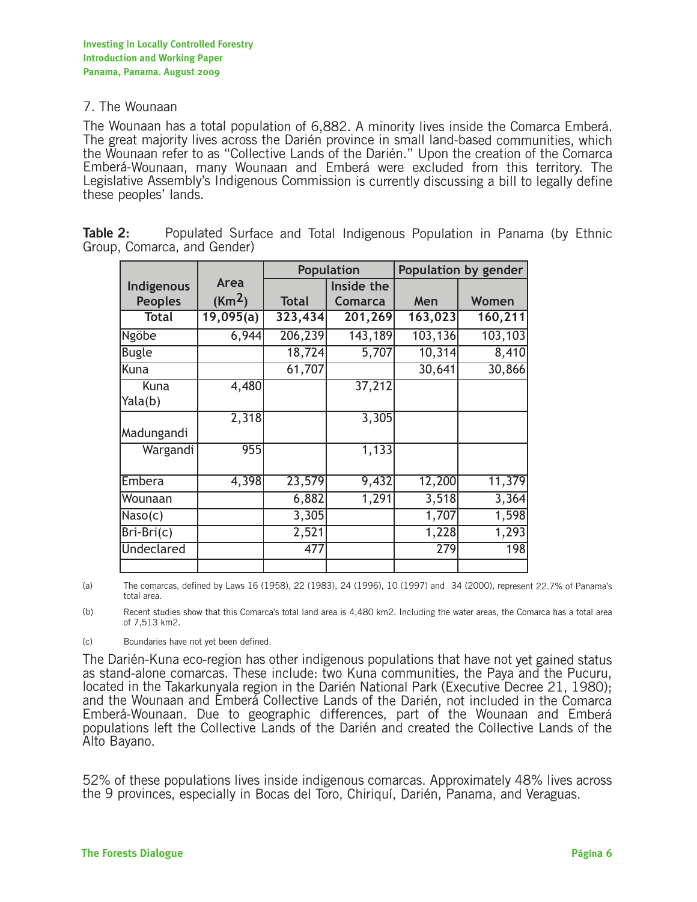#### 7. The Wounaan

The Wounaan has a total population of 6,882. A minority lives inside the Comarca Emberá. The great majority lives across the Darién province in small land-based communities, which the Wounaan refer to as "Collective Lands of the Darién." Upon the creation of the Comarca Emberá-Wounaan, many Wounaan and Emberá were excluded from this territory. The Legislative Assembly's Indigenous Commission is currently discussing a bill to legally define these peoples' lands.

|                   |                    | Population   |                | Population by gender |         |
|-------------------|--------------------|--------------|----------------|----------------------|---------|
| Indigenous        | Area               |              | Inside the     |                      |         |
| <b>Peoples</b>    | (Km <sup>2</sup> ) | <b>Total</b> | <b>Comarca</b> | Men                  | Women   |
| <b>Total</b>      | 19,095(a)          | 323,434      | 201,269        | 163,023              | 160,211 |
| Ngöbe             | 6,944              | 206,239      | 143,189        | 103,136              | 103,103 |
| <b>Bugle</b>      |                    | 18,724       | 5,707          | 10,314               | 8,410   |
| Kuna              |                    | 61,707       |                | 30,641               | 30,866  |
| Kuna              | 4,480              |              | 37,212         |                      |         |
| Yala(b)           |                    |              |                |                      |         |
|                   | 2,318              |              | 3,305          |                      |         |
| Madungandi        |                    |              |                |                      |         |
| Wargandi          | 955                |              | 1,133          |                      |         |
|                   |                    |              |                |                      |         |
| Embera            | 4,398              | 23,579       | 9,432          | 12,200               | 11,379  |
| Wounaan           |                    | 6,882        | 1,291          | 3,518                | 3,364   |
| Naso(c)           |                    | 3,305        |                | 1,707                | 1,598   |
| Bri-Bri(c)        |                    | 2,521        |                | 1,228                | 1,293   |
| <b>Undeclared</b> |                    | 477          |                | 279                  | 198     |
|                   |                    |              |                |                      |         |

**Table 2:** Populated Surface and Total Indigenous Population in Panama (by Ethnic Group, Comarca, and Gender)

(a) The comarcas, defined by Laws 16 (1958), 22 (1983), 24 (1996), 10 (1997) and 34 (2000), represent 22.7% of Panama's total area.

(b) Recent studies show that this Comarca's total land area is 4,480 km2. Including the water areas, the Comarca has a total area of 7,513 km2.

(c) Boundaries have not yet been defined.

The Darién-Kuna eco-region has other indigenous populations that have not yet gained status as stand-alone comarcas. These include: two Kuna communities, the Paya and the Pucuru, located in the Takarkunyala region in the Darién National Park (Executive Decree 21, 1980); and the Wounaan and Emberá Collective Lands of the Darién, not included in the Comarca Emberá-Wounaan. Due to geographic differences, part of the Wounaan and Emberá populations left the Collective Lands of the Darién and created the Collective Lands of the Alto Bayano.

52% of these populations lives inside indigenous comarcas. Approximately 48% lives across the 9 provinces, especially in Bocas del Toro, Chiriquí, Darién, Panama, and Veraguas.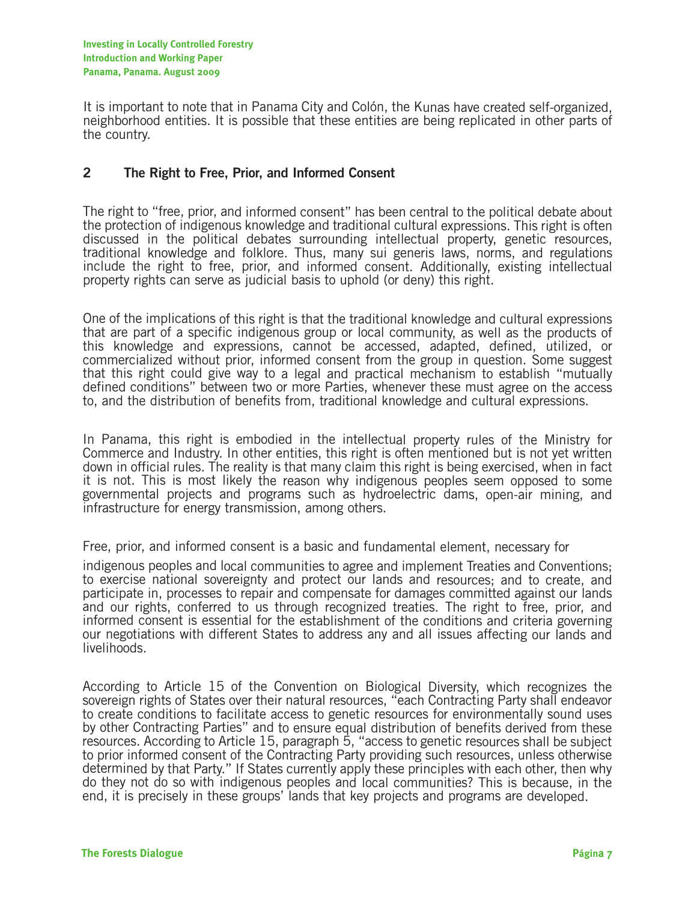It is important to note that in Panama City and Colón, the Kunas have created self-organized, neighborhood entities. It is possible that these entities are being replicated in other parts of the country.

### **2 The Right to Free, Prior, and Informed Consent**

The right to "free, prior, and informed consent" has been central to the political debate about the protection of indigenous knowledge and traditional cultural expressions. This right is often discussed in the political debates surrounding intellectual property, genetic resources, traditional knowledge and folklore. Thus, many sui generis laws, norms, and regulations include the right to free, prior, and informed consent. Additionally, existing intellectual property rights can serve as judicial basis to uphold (or deny) this right.

One of the implications of this right is that the traditional knowledge and cultural expressions that are part of a specific indigenous group or local community, as well as the products of this knowledge and expressions, cannot be accessed, adapted, defined, utilized, or commercialized without prior, informed consent from the group in question. Some suggest that this right could give way to a legal and practical mechanism to establish "mutually defined conditions" between two or more Parties, whenever these must agree on the access to, and the distribution of benefits from, traditional knowledge and cultural expressions.

In Panama, this right is embodied in the intellectual property rules of the Ministry for Commerce and Industry. In other entities, this right is often mentioned but is not yet written down in official rules. The reality is that many claim this right is being exercised, when in fact it is not. This is most likely the reason why indigenous peoples seem opposed to some governmental projects and programs such as hydroelectric dams, open-air mining, and infrastructure for energy transmission, among others.

Free, prior, and informed consent is a basic and fundamental element, necessary for

indigenous peoples and local communities to agree and implement Treaties and Conventions; to exercise national sovereignty and protect our lands and resources; and to create, and participate in, processes to repair and compensate for damages committed against our lands and our rights, conferred to us through recognized treaties. The right to free, prior, and informed consent is essential for the establishment of the conditions and criteria governing our negotiations with different States to address any and all issues affecting our lands and livelihoods.

According to Article 15 of the Convention on Biological Diversity, which recognizes the sovereign rights of States over their natural resources, "each Contracting Party shall endeavor to create conditions to facilitate access to genetic resources for environmentally sound uses by other Contracting Parties" and to ensure equal distribution of benefits derived from these resources. According to Article 15, paragraph 5, "access to genetic resources shall be subject to prior informed consent of the Contracting Party providing such resources, unless otherwise determined by that Party." If States currently apply these principles with each other, then why do they not do so with indigenous peoples and local communities? This is because, in the end, it is precisely in these groups' lands that key projects and programs are developed.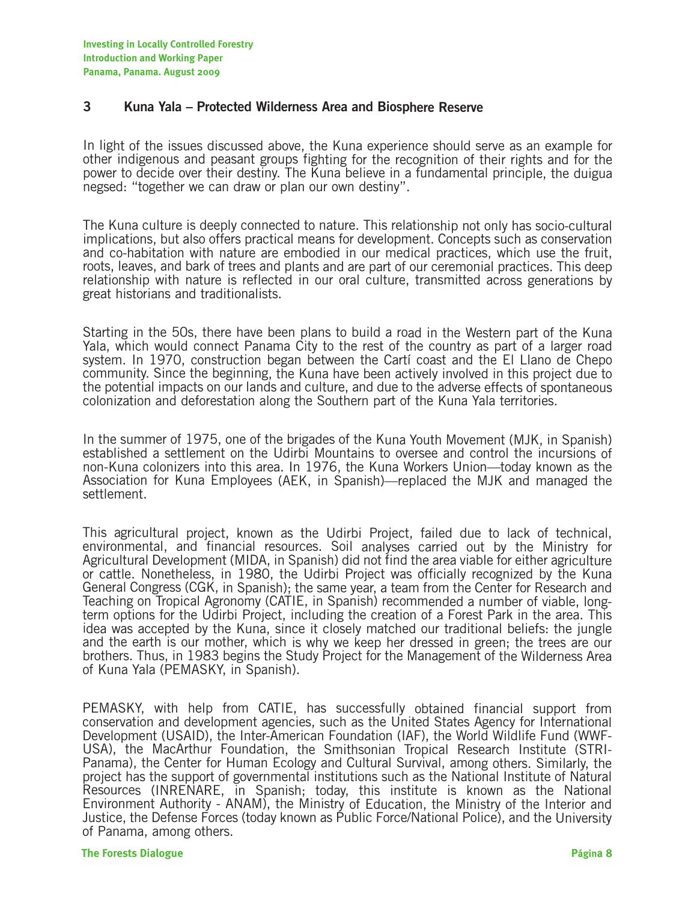#### **3 Kuna Yala – Protected Wilderness Area and Biosphere Reserve**

In light of the issues discussed above, the Kuna experience should serve as an example for other indigenous and peasant groups fighting for the recognition of their rights and for the power to decide over their destiny. The Kuna believe in a fundamental principle, the duigua negsed: "together we can draw or plan our own destiny".

The Kuna culture is deeply connected to nature. This relationship not only has socio-cultural implications, but also offers practical means for development. Concepts such as conservation and co-habitation with nature are embodied in our medical practices, which use the fruit, roots, leaves, and bark of trees and plants and are part of our ceremonial practices. This deep relationship with nature is reflected in our oral culture, transmitted across generations by great historians and traditionalists.

Starting in the 50s, there have been plans to build a road in the Western part of the Kuna Yala, which would connect Panama City to the rest of the country as part of a larger road system. In 1970, construction began between the Cartí coast and the El Llano de Chepo community. Since the beginning, the Kuna have been actively involved in this project due to the potential impacts on our lands and culture, and due to the adverse effects of spontaneous colonization and deforestation along the Southern part of the Kuna Yala territories.

In the summer of 1975, one of the brigades of the Kuna Youth Movement (MJK, in Spanish) established a settlement on the Udirbi Mountains to oversee and control the incursions of non-Kuna colonizers into this area. In 1976, the Kuna Workers Union—today known as the Association for Kuna Employees (AEK, in Spanish)—replaced the MJK and managed the settlement.

This agricultural project, known as the Udirbi Project, failed due to lack of technical, environmental, and financial resources. Soil analyses carried out by the Ministry for Agricultural Development (MIDA, in Spanish) did not find the area viable for either agriculture or cattle. Nonetheless, in 1980, the Udirbi Project was officially recognized by the Kuna General Congress (CGK, in Spanish); the same year, a team from the Center for Research and Teaching on Tropical Agronomy (CATIE, in Spanish) recommended a number of viable, longterm options for the Udirbi Project, including the creation of a Forest Park in the area. This idea was accepted by the Kuna, since it closely matched our traditional beliefs: the jungle and the earth is our mother, which is why we keep her dressed in green; the trees are our brothers. Thus, in 1983 begins the Study Project for the Management of the Wilderness Area of Kuna Yala (PEMASKY, in Spanish).

PEMASKY, with help from CATIE, has successfully obtained financial support from conservation and development agencies, such as the United States Agency for International Development (USAID), the Inter-American Foundation (IAF), the World Wildlife Fund (WWF-USA), the MacArthur Foundation, the Smithsonian Tropical Research Institute (STRI-Panama), the Center for Human Ecology and Cultural Survival, among others. Similarly, the project has the support of governmental institutions such as the National Institute of Natural Resources (INRENARE, in Spanish; today, this institute is known as the National Environment Authority - ANAM), the Ministry of Education, the Ministry of the Interior and Justice, the Defense Forces (today known as Public Force/National Police), and the University of Panama, among others.

#### **The Forests Dialogue Página 8**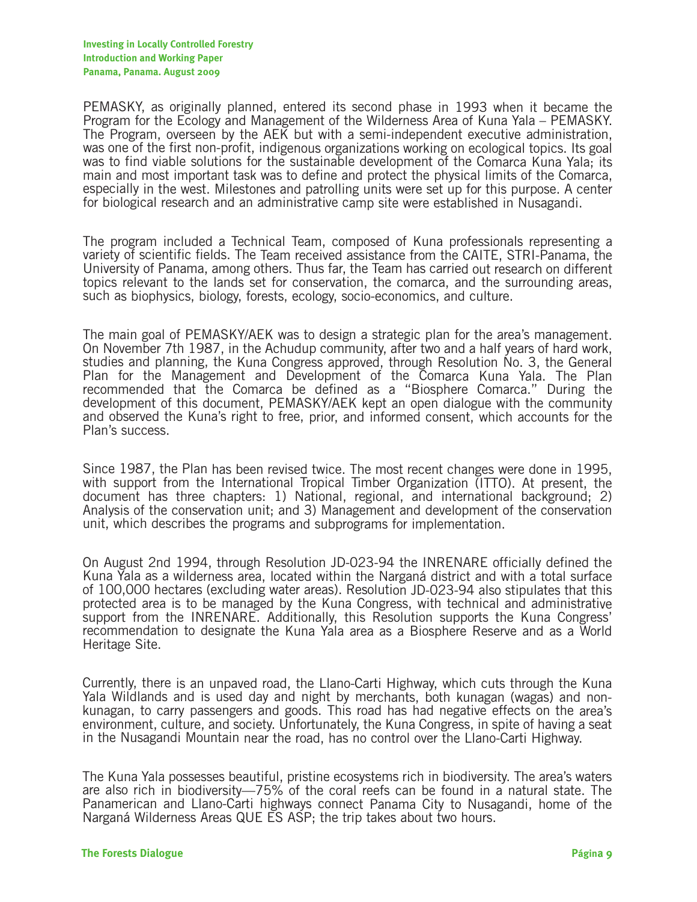PEMASKY, as originally planned, entered its second phase in 1993 when it became the Program for the Ecology and Management of the Wilderness Area of Kuna Yala – PEMASKY. The Program, overseen by the AEK but with a semi-independent executive administration, was one of the first non-profit, indigenous organizations working on ecological topics. Its goal was to find viable solutions for the sustainable development of the Comarca Kuna Yala; its main and most important task was to define and protect the physical limits of the Comarca, especially in the west. Milestones and patrolling units were set up for this purpose. A center for biological research and an administrative camp site were established in Nusagandi.

The program included a Technical Team, composed of Kuna professionals representing a variety of scientific fields. The Team received assistance from the CAITE, STRI-Panama, the University of Panama, among others. Thus far, the Team has carried out research on different topics relevant to the lands set for conservation, the comarca, and the surrounding areas, such as biophysics, biology, forests, ecology, socio-economics, and culture.

The main goal of PEMASKY/AEK was to design a strategic plan for the area's management. On November 7th 1987, in the Achudup community, after two and a half years of hard work, studies and planning, the Kuna Congress approved, through Resolution No. 3, the General Plan for the Management and Development of the Comarca Kuna Yala. The Plan recommended that the Comarca be defined as a "Biosphere Comarca." During the development of this document, PEMASKY/AEK kept an open dialogue with the community and observed the Kuna's right to free, prior, and informed consent, which accounts for the Plan's success.

Since 1987, the Plan has been revised twice. The most recent changes were done in 1995, with support from the International Tropical Timber Organization (ITTO). At present, the document has three chapters: 1) National, regional, and international background; 2) Analysis of the conservation unit; and 3) Management and development of the conservation unit, which describes the programs and subprograms for implementation.

On August 2nd 1994, through Resolution JD-023-94 the INRENARE officially defined the Kuna Yala as a wilderness area, located within the Narganá district and with a total surface of 100,000 hectares (excluding water areas). Resolution JD-023-94 also stipulates that this protected area is to be managed by the Kuna Congress, with technical and administrative support from the INRENARE. Additionally, this Resolution supports the Kuna Congress' recommendation to designate the Kuna Yala area as a Biosphere Reserve and as a World Heritage Site.

Currently, there is an unpaved road, the Llano-Carti Highway, which cuts through the Kuna Yala Wildlands and is used day and night by merchants, both kunagan (wagas) and nonkunagan, to carry passengers and goods. This road has had negative effects on the area's environment, culture, and society. Unfortunately, the Kuna Congress, in spite of having a seat in the Nusagandi Mountain near the road, has no control over the Llano-Carti Highway.

The Kuna Yala possesses beautiful, pristine ecosystems rich in biodiversity. The area's waters are also rich in biodiversity—75% of the coral reefs can be found in a natural state. The Panamerican and Llano-Carti highways connect Panama City to Nusagandi, home of the Narganá Wilderness Areas QUE ES ASP; the trip takes about two hours.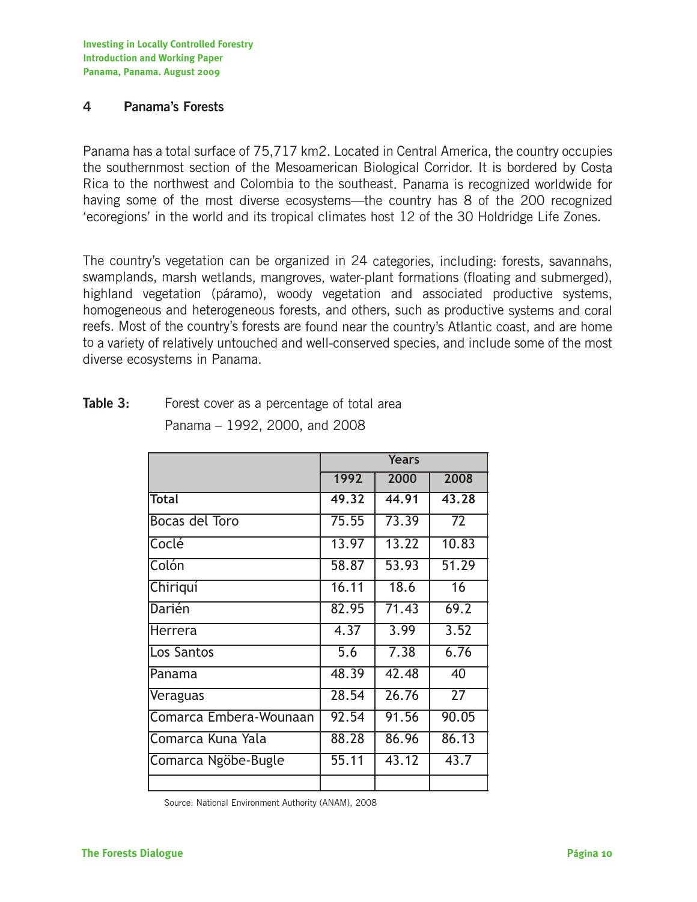**Investing in Locally Controlled Forestry Introduction and Working Paper Panama, Panama. August 2009**

### **4 Panama's Forests**

Panama has a total surface of 75,717 km2. Located in Central America, the country occupies the southernmost section of the Mesoamerican Biological Corridor. It is bordered by Costa Rica to the northwest and Colombia to the southeast. Panama is recognized worldwide for having some of the most diverse ecosystems—the country has 8 of the 200 recognized 'ecoregions' in the world and its tropical climates host 12 of the 30 Holdridge Life Zones.

The country's vegetation can be organized in 24 categories, including: forests, savannahs, swamplands, marsh wetlands, mangroves, water-plant formations (floating and submerged), highland vegetation (páramo), woody vegetation and associated productive systems, homogeneous and heterogeneous forests, and others, such as productive systems and coral reefs. Most of the country's forests are found near the country's Atlantic coast, and are home to a variety of relatively untouched and well-conserved species, and include some of the most diverse ecosystems in Panama.

|                        | <b>Years</b>     |       |                 |
|------------------------|------------------|-------|-----------------|
|                        | 1992             | 2000  | 2008            |
| <b>Total</b>           | 49.32            | 44.91 | 43.28           |
| <b>Bocas del Toro</b>  | 75.55            | 73.39 | 72              |
| Coclé                  | 13.97            | 13.22 | 10.83           |
| Colón                  | 58.87            | 53.93 | 51.29           |
| Chiriquí               | 16.11            | 18.6  | 16              |
| Darién                 | 82.95            | 71.43 | 69.2            |
| Herrera                | 4.37             | 3.99  | 3.52            |
| Los Santos             | $\overline{5.6}$ | 7.38  | 6.76            |
| Panama                 | 48.39            | 42.48 | 40              |
| Veraguas               | 28.54            | 26.76 | $\overline{27}$ |
| Comarca Embera-Wounaan | 92.54            | 91.56 | 90.05           |
| Comarca Kuna Yala      | 88.28            | 86.96 | 86.13           |
| Comarca Ngöbe-Bugle    | 55.11            | 43.12 | 43.7            |
|                        |                  |       |                 |

## **Table 3:** Forest cover as a percentage of total area

Panama – 1992, 2000, and 2008

Source: National Environment Authority (ANAM), 2008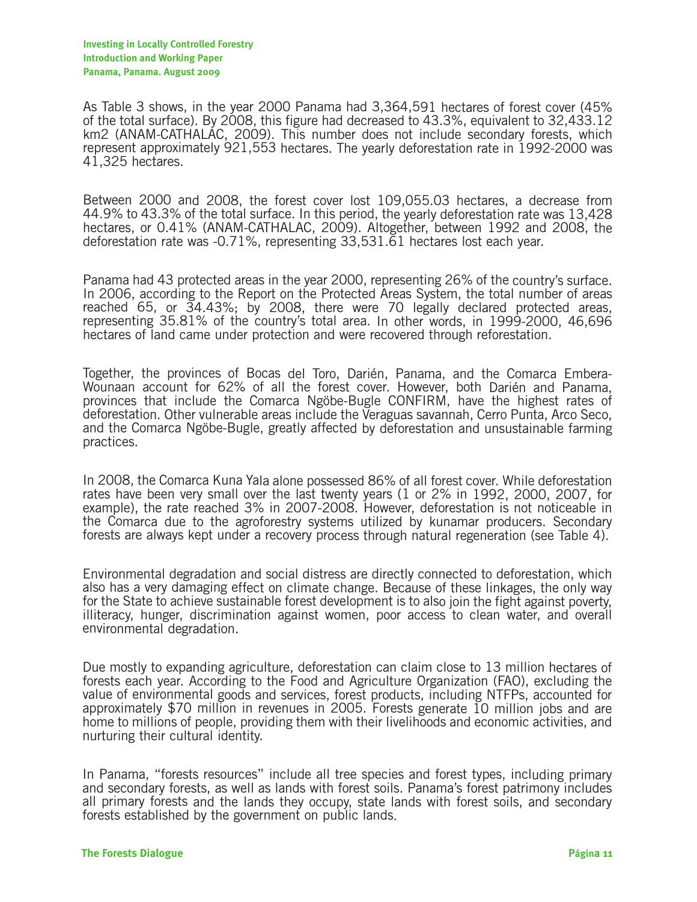As Table 3 shows, in the year 2000 Panama had 3,364,591 hectares of forest cover (45% of the total surface). By 2008, this figure had decreased to 43.3%, equivalent to 32,433.12 km2 (ANAM-CATHALAC, 2009). This number does not include secondary forests, which represent approximately 921,553 hectares. The yearly deforestation rate in 1992-2000 was 41,325 hectares.

Between 2000 and 2008, the forest cover lost 109,055.03 hectares, a decrease from 44.9% to 43.3% of the total surface. In this period, the yearly deforestation rate was 13,428 hectares, or 0.41% (ANAM-CATHALAC, 2009). Altogether, between 1992 and 2008, the deforestation rate was -0.71%, representing 33,531.61 hectares lost each year.

Panama had 43 protected areas in the year 2000, representing 26% of the country's surface. In 2006, according to the Report on the Protected Areas System, the total number of areas reached 65, or 34.43%; by 2008, there were 70 legally declared protected areas, representing 35.81% of the country's total area. In other words, in 1999-2000, 46,696 hectares of land came under protection and were recovered through reforestation.

Together, the provinces of Bocas del Toro, Darién, Panama, and the Comarca Embera-Wounaan account for 62% of all the forest cover. However, both Darién and Panama, provinces that include the Comarca Ngöbe-Bugle CONFIRM, have the highest rates of deforestation. Other vulnerable areas include the Veraguas savannah, Cerro Punta, Arco Seco, and the Comarca Ngöbe-Bugle, greatly affected by deforestation and unsustainable farming practices.

In 2008, the Comarca Kuna Yala alone possessed 86% of all forest cover. While deforestation rates have been very small over the last twenty years (1 or 2% in 1992, 2000, 2007, for example), the rate reached 3% in 2007-2008. However, deforestation is not noticeable in the Comarca due to the agroforestry systems utilized by kunamar producers. Secondary forests are always kept under a recovery process through natural regeneration (see Table 4).

Environmental degradation and social distress are directly connected to deforestation, which also has a very damaging effect on climate change. Because of these linkages, the only way for the State to achieve sustainable forest development is to also join the fight against poverty, illiteracy, hunger, discrimination against women, poor access to clean water, and overall environmental degradation.

Due mostly to expanding agriculture, deforestation can claim close to 13 million hectares of forests each year. According to the Food and Agriculture Organization (FAO), excluding the value of environmental goods and services, forest products, including NTFPs, accounted for approximately \$70 million in revenues in 2005. Forests generate 10 million jobs and are home to millions of people, providing them with their livelihoods and economic activities, and nurturing their cultural identity.

In Panama, "forests resources" include all tree species and forest types, including primary and secondary forests, as well as lands with forest soils. Panama's forest patrimony includes all primary forests and the lands they occupy, state lands with forest soils, and secondary forests established by the government on public lands.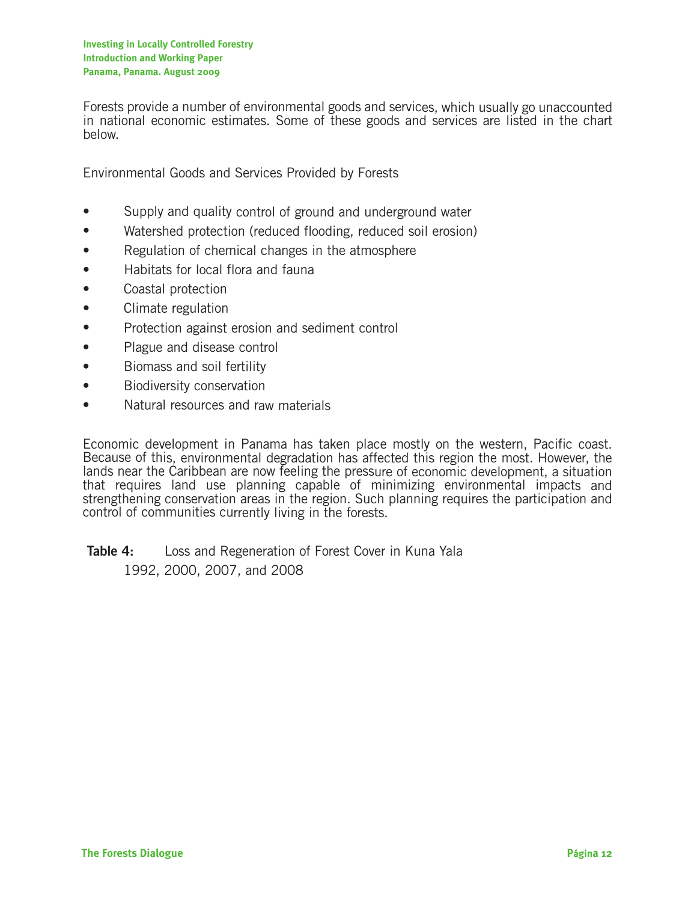Forests provide a number of environmental goods and services, which usually go unaccounted in national economic estimates. Some of these goods and services are listed in the chart below.

Environmental Goods and Services Provided by Forests

- Supply and quality control of ground and underground water
- Watershed protection (reduced flooding, reduced soil erosion)
- Regulation of chemical changes in the atmosphere
- Habitats for local flora and fauna
- Coastal protection
- Climate regulation
- Protection against erosion and sediment control
- Plague and disease control
- Biomass and soil fertility
- Biodiversity conservation
- Natural resources and raw materials

Economic development in Panama has taken place mostly on the western, Pacific coast. Because of this, environmental degradation has affected this region the most. However, the lands near the Caribbean are now feeling the pressure of economic development, a situation that requires land use planning capable of minimizing environmental impacts and strengthening conservation areas in the region. Such planning requires the participation and control of communities currently living in the forests.

**Table 4:** Loss and Regeneration of Forest Cover in Kuna Yala 1992, 2000, 2007, and 2008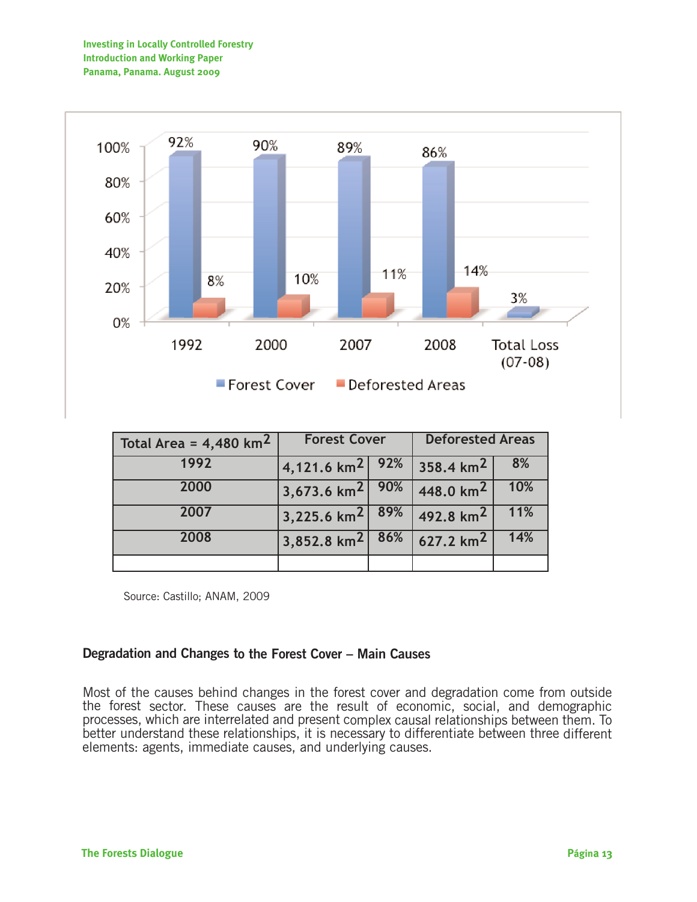

| Total Area = $4,480$ km <sup>2</sup> | <b>Forest Cover</b>           |  | <b>Deforested Areas</b> |     |
|--------------------------------------|-------------------------------|--|-------------------------|-----|
| 1992                                 | $ 4,121.6 \text{ km}^2 $ 92%  |  | 358.4 km <sup>2</sup>   | 8%  |
| 2000                                 | $3,673.6$ km <sup>2</sup> 90% |  | 448.0 $km^2$            | 10% |
| 2007                                 | 3,225.6 km <sup>2</sup> 89%   |  | 492.8 $km^2$            | 11% |
| 2008                                 | $3,852.8$ km <sup>2</sup> 86% |  | $627.2 \text{ km}^2$    | 14% |
|                                      |                               |  |                         |     |

Source: Castillo; ANAM, 2009

#### **Degradation and Changes to the Forest Cover – Main Causes**

Most of the causes behind changes in the forest cover and degradation come from outside the forest sector. These causes are the result of economic, social, and demographic processes, which are interrelated and present complex causal relationships between them. To better understand these relationships, it is necessary to differentiate between three different elements: agents, immediate causes, and underlying causes.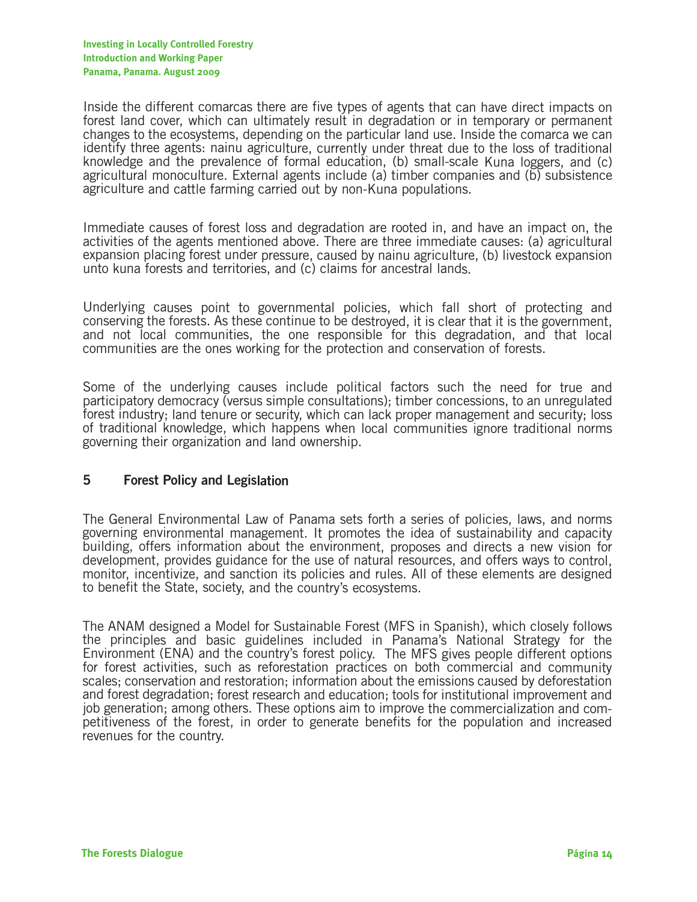Inside the different comarcas there are five types of agents that can have direct impacts on forest land cover, which can ultimately result in degradation or in temporary or permanent changes to the ecosystems, depending on the particular land use. Inside the comarca we can identify three agents: nainu agriculture, currently under threat due to the loss of traditional knowledge and the prevalence of formal education, (b) small-scale Kuna loggers, and (c) agricultural monoculture. External agents include (a) timber companies and (b) subsistence agriculture and cattle farming carried out by non-Kuna populations.

Immediate causes of forest loss and degradation are rooted in, and have an impact on, the activities of the agents mentioned above. There are three immediate causes: (a) agricultural expansion placing forest under pressure, caused by nainu agriculture, (b) livestock expansion unto kuna forests and territories, and (c) claims for ancestral lands.

Underlying causes point to governmental policies, which fall short of protecting and conserving the forests. As these continue to be destroyed, it is clear that it is the government, and not local communities, the one responsible for this degradation, and that local communities are the ones working for the protection and conservation of forests.

Some of the underlying causes include political factors such the need for true and participatory democracy (versus simple consultations); timber concessions, to an unregulated forest industry; land tenure or security, which can lack proper management and security; loss of traditional knowledge, which happens when local communities ignore traditional norms governing their organization and land ownership.

#### **5 Forest Policy and Legislation**

The General Environmental Law of Panama sets forth a series of policies, laws, and norms governing environmental management. It promotes the idea of sustainability and capacity building, offers information about the environment, proposes and directs a new vision for development, provides guidance for the use of natural resources, and offers ways to control, monitor, incentivize, and sanction its policies and rules. All of these elements are designed to benefit the State, society, and the country's ecosystems.

The ANAM designed a Model for Sustainable Forest (MFS in Spanish), which closely follows the principles and basic guidelines included in Panama's National Strategy for the Environment (ENA) and the country's forest policy. The MFS gives people different options for forest activities, such as reforestation practices on both commercial and community scales; conservation and restoration; information about the emissions caused by deforestation and forest degradation; forest research and education; tools for institutional improvement and job generation; among others. These options aim to improve the commercialization and competitiveness of the forest, in order to generate benefits for the population and increased revenues for the country.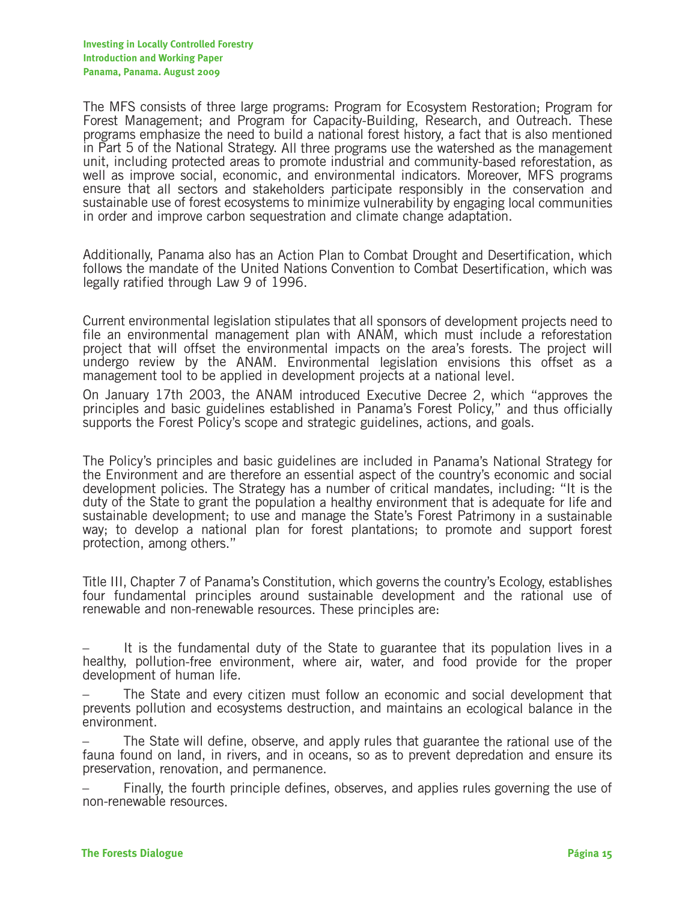The MFS consists of three large programs: Program for Ecosystem Restoration; Program for Forest Management; and Program for Capacity-Building, Research, and Outreach. These programs emphasize the need to build a national forest history, a fact that is also mentioned in Part 5 of the National Strategy. All three programs use the watershed as the management unit, including protected areas to promote industrial and community-based reforestation, as well as improve social, economic, and environmental indicators. Moreover, MFS programs ensure that all sectors and stakeholders participate responsibly in the conservation and sustainable use of forest ecosystems to minimize vulnerability by engaging local communities in order and improve carbon sequestration and climate change adaptation.

Additionally, Panama also has an Action Plan to Combat Drought and Desertification, which follows the mandate of the United Nations Convention to Combat Desertification, which was legally ratified through Law 9 of 1996.

Current environmental legislation stipulates that all sponsors of development projects need to file an environmental management plan with ANAM, which must include a reforestation project that will offset the environmental impacts on the area's forests. The project will undergo review by the ANAM. Environmental legislation envisions this offset as a management tool to be applied in development projects at a national level.

On January 17th 2003, the ANAM introduced Executive Decree 2, which "approves the principles and basic guidelines established in Panama's Forest Policy," and thus officially supports the Forest Policy's scope and strategic guidelines, actions, and goals.

The Policy's principles and basic guidelines are included in Panama's National Strategy for the Environment and are therefore an essential aspect of the country's economic and social development policies. The Strategy has a number of critical mandates, including: "It is the duty of the State to grant the population a healthy environment that is adequate for life and sustainable development; to use and manage the State's Forest Patrimony in a sustainable way; to develop a national plan for forest plantations; to promote and support forest protection, among others."

Title III, Chapter 7 of Panama's Constitution, which governs the country's Ecology, establishes four fundamental principles around sustainable development and the rational use of renewable and non-renewable resources. These principles are:

– It is the fundamental duty of the State to guarantee that its population lives in a healthy, pollution-free environment, where air, water, and food provide for the proper development of human life.

The State and every citizen must follow an economic and social development that prevents pollution and ecosystems destruction, and maintains an ecological balance in the environment.

– The State will define, observe, and apply rules that guarantee the rational use of the fauna found on land, in rivers, and in oceans, so as to prevent depredation and ensure its preservation, renovation, and permanence.

– Finally, the fourth principle defines, observes, and applies rules governing the use of non-renewable resources.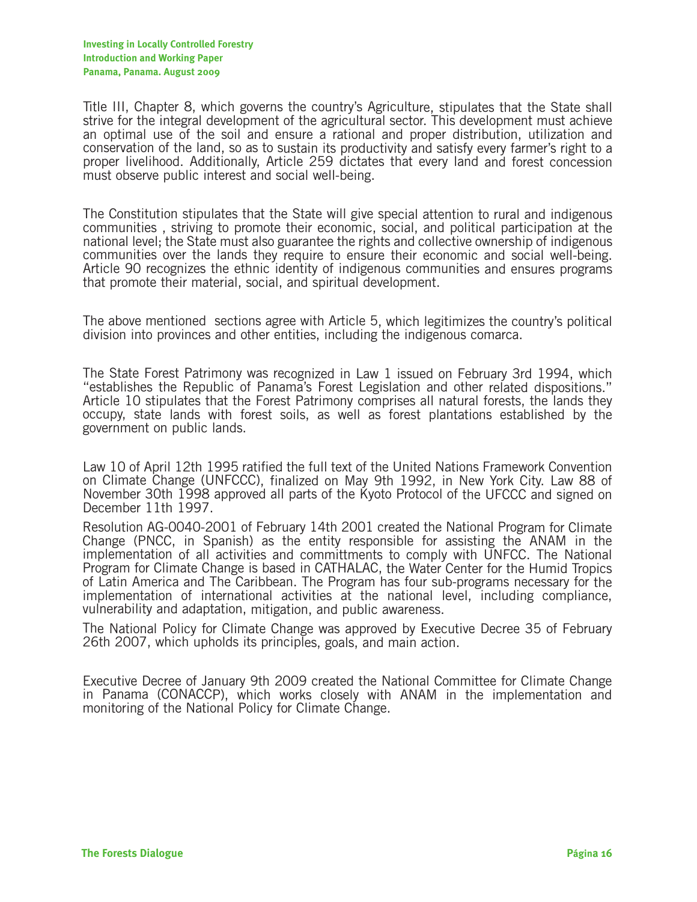Title III, Chapter 8, which governs the country's Agriculture, stipulates that the State shall strive for the integral development of the agricultural sector. This development must achieve an optimal use of the soil and ensure a rational and proper distribution, utilization and conservation of the land, so as to sustain its productivity and satisfy every farmer's right to a proper livelihood. Additionally, Article 259 dictates that every land and forest concession must observe public interest and social well-being.

The Constitution stipulates that the State will give special attention to rural and indigenous communities , striving to promote their economic, social, and political participation at the national level; the State must also guarantee the rights and collective ownership of indigenous communities over the lands they require to ensure their economic and social well-being. Article 90 recognizes the ethnic identity of indigenous communities and ensures programs that promote their material, social, and spiritual development.

The above mentioned sections agree with Article 5, which legitimizes the country's political division into provinces and other entities, including the indigenous comarca.

The State Forest Patrimony was recognized in Law 1 issued on February 3rd 1994, which "establishes the Republic of Panama's Forest Legislation and other related dispositions." Article 10 stipulates that the Forest Patrimony comprises all natural forests, the lands they occupy, state lands with forest soils, as well as forest plantations established by the government on public lands.

Law 10 of April 12th 1995 ratified the full text of the United Nations Framework Convention on Climate Change (UNFCCC), finalized on May 9th 1992, in New York City. Law 88 of November 30th 1998 approved all parts of the Kyoto Protocol of the UFCCC and signed on December 11th 1997.

Resolution AG-0040-2001 of February 14th 2001 created the National Program for Climate Change (PNCC, in Spanish) as the entity responsible for assisting the ANAM in the implementation of all activities and committments to comply with UNFCC. The National Program for Climate Change is based in CATHALAC, the Water Center for the Humid Tropics of Latin America and The Caribbean. The Program has four sub-programs necessary for the implementation of international activities at the national level, including compliance, vulnerability and adaptation, mitigation, and public awareness.

The National Policy for Climate Change was approved by Executive Decree 35 of February 26th 2007, which upholds its principles, goals, and main action.

Executive Decree of January 9th 2009 created the National Committee for Climate Change in Panama (CONACCP), which works closely with ANAM in the implementation and monitoring of the National Policy for Climate Change.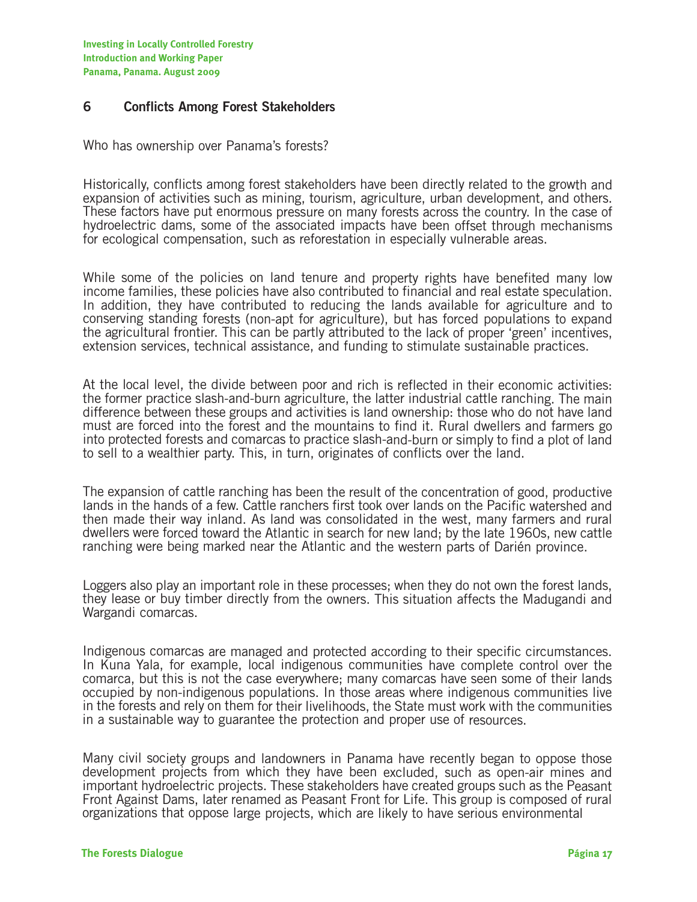#### **6 Conflicts Among Forest Stakeholders**

Who has ownership over Panama's forests?

Historically, conflicts among forest stakeholders have been directly related to the growth and expansion of activities such as mining, tourism, agriculture, urban development, and others. These factors have put enormous pressure on many forests across the country. In the case of hydroelectric dams, some of the associated impacts have been offset through mechanisms for ecological compensation, such as reforestation in especially vulnerable areas.

While some of the policies on land tenure and property rights have benefited many low income families, these policies have also contributed to financial and real estate speculation. In addition, they have contributed to reducing the lands available for agriculture and to conserving standing forests (non-apt for agriculture), but has forced populations to expand the agricultural frontier. This can be partly attributed to the lack of proper 'green' incentives, extension services, technical assistance, and funding to stimulate sustainable practices.

At the local level, the divide between poor and rich is reflected in their economic activities: the former practice slash-and-burn agriculture, the latter industrial cattle ranching. The main difference between these groups and activities is land ownership: those who do not have land must are forced into the forest and the mountains to find it. Rural dwellers and farmers go into protected forests and comarcas to practice slash-and-burn or simply to find a plot of land to sell to a wealthier party. This, in turn, originates of conflicts over the land.

The expansion of cattle ranching has been the result of the concentration of good, productive lands in the hands of a few. Cattle ranchers first took over lands on the Pacific watershed and then made their way inland. As land was consolidated in the west, many farmers and rural dwellers were forced toward the Atlantic in search for new land; by the late 1960s, new cattle ranching were being marked near the Atlantic and the western parts of Darién province.

Loggers also play an important role in these processes; when they do not own the forest lands, they lease or buy timber directly from the owners. This situation affects the Madugandi and Wargandi comarcas.

Indigenous comarcas are managed and protected according to their specific circumstances. In Kuna Yala, for example, local indigenous communities have complete control over the comarca, but this is not the case everywhere; many comarcas have seen some of their lands occupied by non-indigenous populations. In those areas where indigenous communities live in the forests and rely on them for their livelihoods, the State must work with the communities in a sustainable way to guarantee the protection and proper use of resources.

Many civil society groups and landowners in Panama have recently began to oppose those development projects from which they have been excluded, such as open-air mines and important hydroelectric projects. These stakeholders have created groups such as the Peasant Front Against Dams, later renamed as Peasant Front for Life. This group is composed of rural organizations that oppose large projects, which are likely to have serious environmental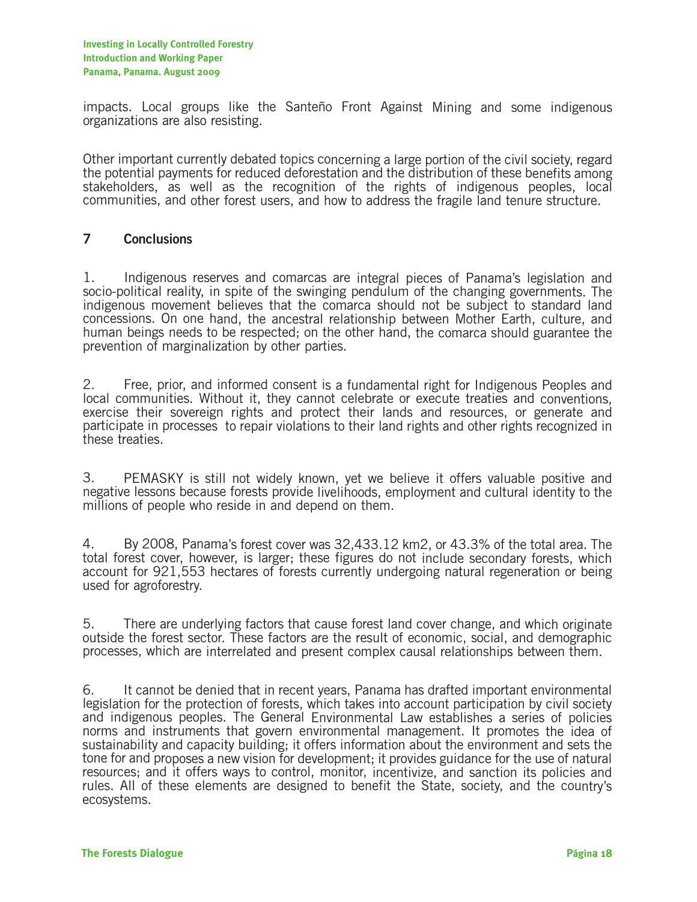impacts. Local groups like the Santeño Front Against Mining and some indigenous organizations are also resisting.

Other important currently debated topics concerning a large portion of the civil society, regard the potential payments for reduced deforestation and the distribution of these benefits among stakeholders, as well as the recognition of the rights of indigenous peoples, local communities, and other forest users, and how to address the fragile land tenure structure.

#### **7 Conclusions**

1. Indigenous reserves and comarcas are integral pieces of Panama's legislation and socio-political reality, in spite of the swinging pendulum of the changing governments. The indigenous movement believes that the comarca should not be subject to standard land concessions. On one hand, the ancestral relationship between Mother Earth, culture, and human beings needs to be respected; on the other hand, the comarca should guarantee the prevention of marginalization by other parties.

2. Free, prior, and informed consent is a fundamental right for Indigenous Peoples and local communities. Without it, they cannot celebrate or execute treaties and conventions, exercise their sovereign rights and protect their lands and resources, or generate and participate in processes to repair violations to their land rights and other rights recognized in these treaties.

3. PEMASKY is still not widely known, yet we believe it offers valuable positive and negative lessons because forests provide livelihoods, employment and cultural identity to the millions of people who reside in and depend on them.

4. By 2008, Panama's forest cover was 32,433.12 km2, or 43.3% of the total area. The total forest cover, however, is larger; these figures do not include secondary forests, which account for 921,553 hectares of forests currently undergoing natural regeneration or being used for agroforestry.

5. There are underlying factors that cause forest land cover change, and which originate outside the forest sector. These factors are the result of economic, social, and demographic processes, which are interrelated and present complex causal relationships between them.

6. It cannot be denied that in recent years, Panama has drafted important environmental legislation for the protection of forests, which takes into account participation by civil society and indigenous peoples. The General Environmental Law establishes a series of policies norms and instruments that govern environmental management. It promotes the idea of sustainability and capacity building; it offers information about the environment and sets the tone for and proposes a new vision for development; it provides guidance for the use of natural resources; and it offers ways to control, monitor, incentivize, and sanction its policies and rules. All of these elements are designed to benefit the State, society, and the country's ecosystems.